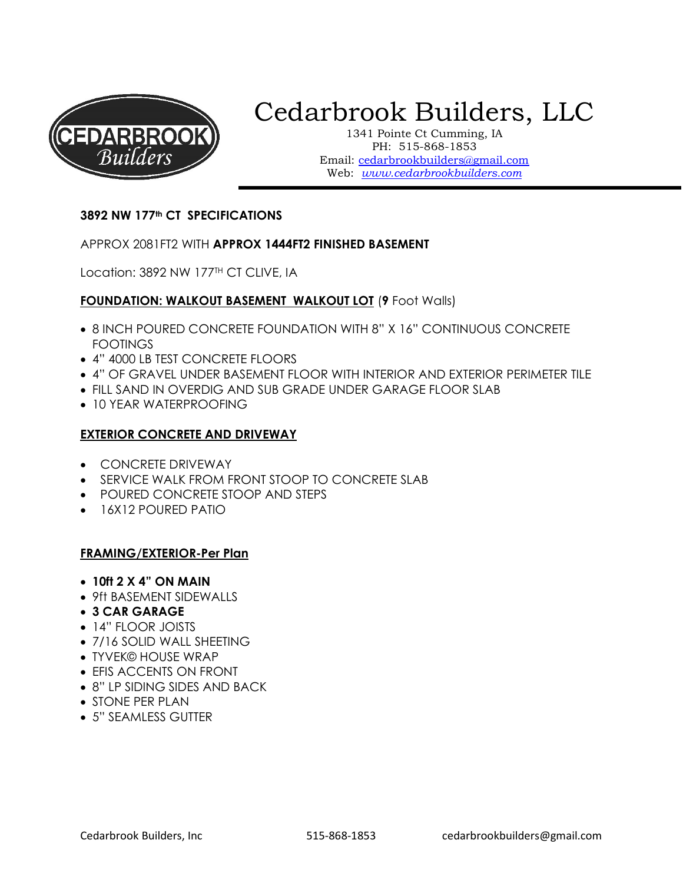

# Cedarbrook Builders, LLC

1341 Pointe Ct Cumming, IA PH: 515-868-1853 Email: cedarbrookbuilders@gmail.com Web: www.cedarbrookbuilders.com

#### 3892 NW 177th CT SPECIFICATIONS

#### APPROX 2081FT2 WITH APPROX 1444FT2 FINISHED BASEMENT

Location: 3892 NW 177<sup>TH</sup> CT CLIVE, IA

#### FOUNDATION: WALKOUT BASEMENT WALKOUT LOT (9 Foot Walls)

- 8 INCH POURED CONCRETE FOUNDATION WITH 8" X 16" CONTINUOUS CONCRETE FOOTINGS
- 4" 4000 LB TEST CONCRETE FLOORS
- 4" OF GRAVEL UNDER BASEMENT FLOOR WITH INTERIOR AND EXTERIOR PERIMETER TILE
- FILL SAND IN OVERDIG AND SUB GRADE UNDER GARAGE FLOOR SLAB
- 10 YEAR WATERPROOFING

#### EXTERIOR CONCRETE AND DRIVEWAY

- CONCRETE DRIVEWAY
- SERVICE WALK FROM FRONT STOOP TO CONCRETE SLAB
- POURED CONCRETE STOOP AND STEPS
- 16X12 POURED PATIO

#### FRAMING/EXTERIOR-Per Plan

- $\bullet$  10ft 2 X 4" ON MAIN
- 9ft BASEMENT SIDEWALLS
- 3 CAR GARAGE
- 14" FLOOR JOISTS
- 7/16 SOLID WALL SHEETING
- TYVEK© HOUSE WRAP
- EFIS ACCENTS ON FRONT
- 8" LP SIDING SIDES AND BACK
- STONE PER PLAN
- 5" SEAMLESS GUTTER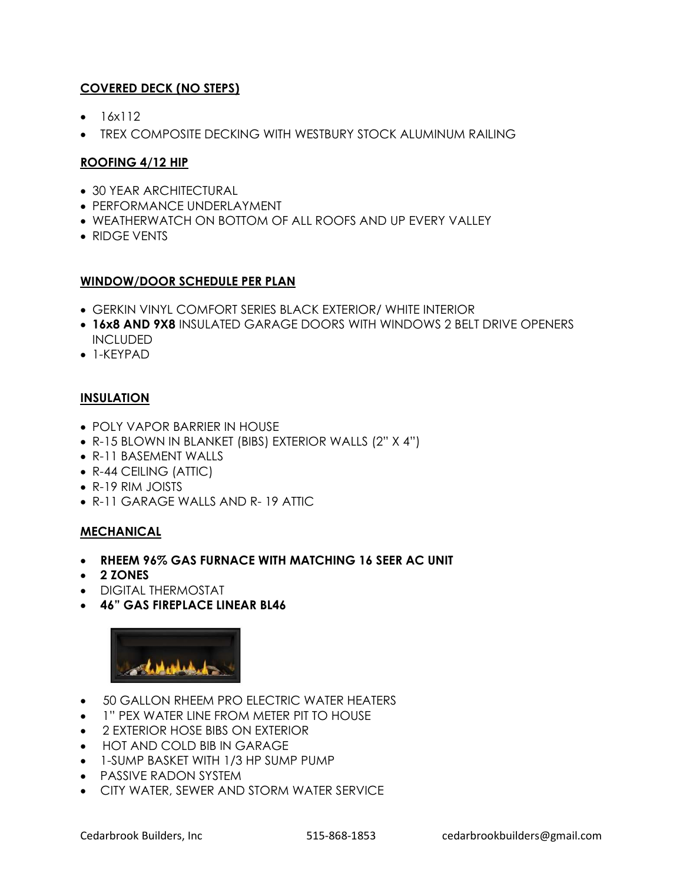# COVERED DECK (NO STEPS)

- $-16x112$
- TREX COMPOSITE DECKING WITH WESTBURY STOCK ALUMINUM RAILING

# ROOFING 4/12 HIP

- 30 YEAR ARCHITECTURAL
- **PERFORMANCE UNDERLAYMENT**
- WEATHERWATCH ON BOTTOM OF ALL ROOFS AND UP EVERY VALLEY
- RIDGE VENTS

## WINDOW/DOOR SCHEDULE PER PLAN

- GERKIN VINYL COMFORT SERIES BLACK EXTERIOR/ WHITE INTERIOR
- 16x8 AND 9X8 INSULATED GARAGE DOORS WITH WINDOWS 2 BELT DRIVE OPENERS INCLUDED
- 1-KEYPAD

# **INSULATION**

- POLY VAPOR BARRIER IN HOUSE
- R-15 BLOWN IN BLANKET (BIBS) EXTERIOR WALLS (2" X 4")
- R-11 BASEMENT WALLS
- R-44 CEILING (ATTIC)
- R-19 RIM JOISTS
- R-11 GARAGE WALLS AND R- 19 ATTIC

# MECHANICAL

- RHEEM 96% GAS FURNACE WITH MATCHING 16 SEER AC UNIT
- 2 ZONES
- DIGITAL THERMOSTAT
- 46" GAS FIREPLACE LINEAR BL46



- 50 GALLON RHEEM PRO ELECTRIC WATER HEATERS
- 1" PEX WATER LINE FROM METER PIT TO HOUSE
- 2 EXTERIOR HOSE BIBS ON EXTERIOR
- HOT AND COLD BIB IN GARAGE
- 1-SUMP BASKET WITH 1/3 HP SUMP PUMP
- PASSIVE RADON SYSTEM
- **CITY WATER, SEWER AND STORM WATER SERVICE**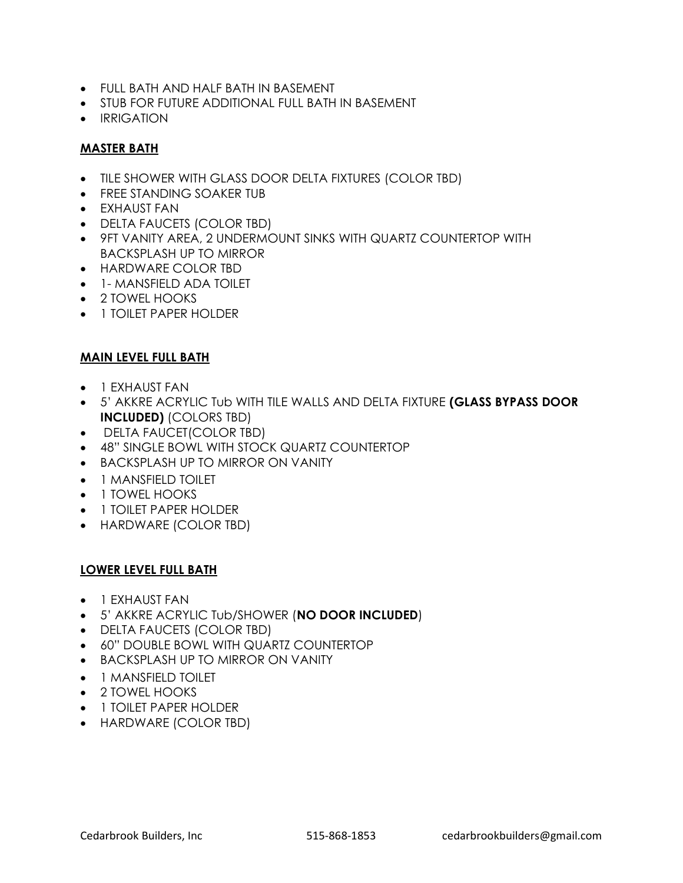- FULL BATH AND HALF BATH IN BASEMENT
- **STUB FOR FUTURE ADDITIONAL FULL BATH IN BASEMENT**
- **•** IRRIGATION

#### MASTER BATH

- TILE SHOWER WITH GLASS DOOR DELTA FIXTURES (COLOR TBD)
- FREE STANDING SOAKER TUB
- EXHAUST FAN
- DELTA FAUCETS (COLOR TBD)
- 9FT VANITY AREA, 2 UNDERMOUNT SINKS WITH QUARTZ COUNTERTOP WITH BACKSPLASH UP TO MIRROR
- HARDWARE COLOR TBD
- 1- MANSFIELD ADA TOILET
- 2 TOWEL HOOKS
- **1 TOILET PAPER HOLDER**

#### MAIN LEVEL FULL BATH

- **•** 1 EXHAUST FAN
- . 5' AKKRE ACRYLIC TUb WITH TILE WALLS AND DELTA FIXTURE (GLASS BYPASS DOOR INCLUDED) (COLORS TBD)
- DELTA FAUCET(COLOR TBD)
- 48" SINGLE BOWL WITH STOCK QUARTZ COUNTERTOP
- **BACKSPLASH UP TO MIRROR ON VANITY**
- 1 MANSFIELD TOILET
- 1 TOWEL HOOKS
- 1 TOILET PAPER HOLDER
- HARDWARE (COLOR TBD)

#### LOWER LEVEL FULL BATH

- 1 EXHAUST FAN
- 5' AKKRE ACRYLIC Tub/SHOWER (NO DOOR INCLUDED)
- DELTA FAUCETS (COLOR TBD)
- 60" DOUBLE BOWL WITH QUARTZ COUNTERTOP
- **BACKSPLASH UP TO MIRROR ON VANITY**
- 1 MANSFIELD TOILET
- 2 TOWEL HOOKS
- 1 TOILET PAPER HOLDER
- HARDWARE (COLOR TBD)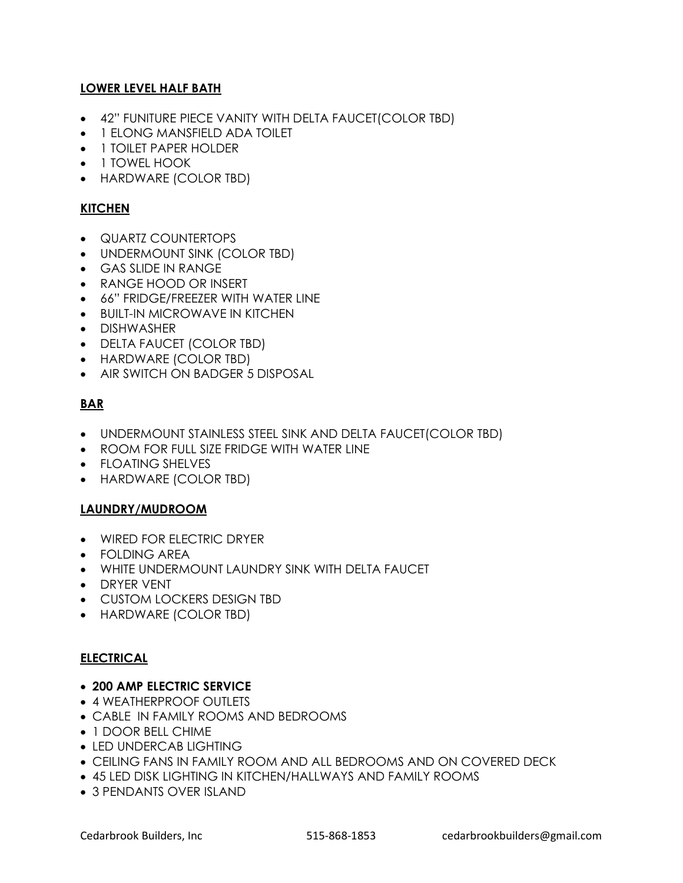# LOWER LEVEL HALF BATH

- 42" FUNITURE PIECE VANITY WITH DELTA FAUCET(COLOR TBD)
- 1 ELONG MANSFIELD ADA TOILET
- 1 TOILET PAPER HOLDER
- 1 TOWEL HOOK
- HARDWARE (COLOR TBD)

## **KITCHEN**

- QUARTZ COUNTERTOPS
- UNDERMOUNT SINK (COLOR TBD)
- GAS SLIDE IN RANGE
- RANGE HOOD OR INSERT
- $\bullet$  66" FRIDGE/FREEZER WITH WATER LINE
- **BUILT-IN MICROWAVE IN KITCHEN**
- **•** DISHWASHER
- DELTA FAUCET (COLOR TBD)
- HARDWARE (COLOR TBD)
- AIR SWITCH ON BADGER 5 DISPOSAL

# BAR

- UNDERMOUNT STAINLESS STEEL SINK AND DELTA FAUCET(COLOR TBD)
- ROOM FOR FULL SIZE FRIDGE WITH WATER LINE
- FLOATING SHELVES
- HARDWARE (COLOR TBD)

#### LAUNDRY/MUDROOM

- WIRED FOR ELECTRIC DRYER
- FOLDING AREA
- WHITE UNDERMOUNT LAUNDRY SINK WITH DELTA FAUCET
- **•** DRYER VENT
- CUSTOM LOCKERS DESIGN TBD
- HARDWARE (COLOR TBD)

#### ELECTRICAL

#### 200 AMP ELECTRIC SERVICE

- 4 WEATHERPROOF OUTLETS
- CABLE IN FAMILY ROOMS AND BEDROOMS
- 1 DOOR BELL CHIME
- LED UNDERCAB LIGHTING
- CEILING FANS IN FAMILY ROOM AND ALL BEDROOMS AND ON COVERED DECK
- 45 LED DISK LIGHTING IN KITCHEN/HALLWAYS AND FAMILY ROOMS
- 3 PENDANTS OVER ISLAND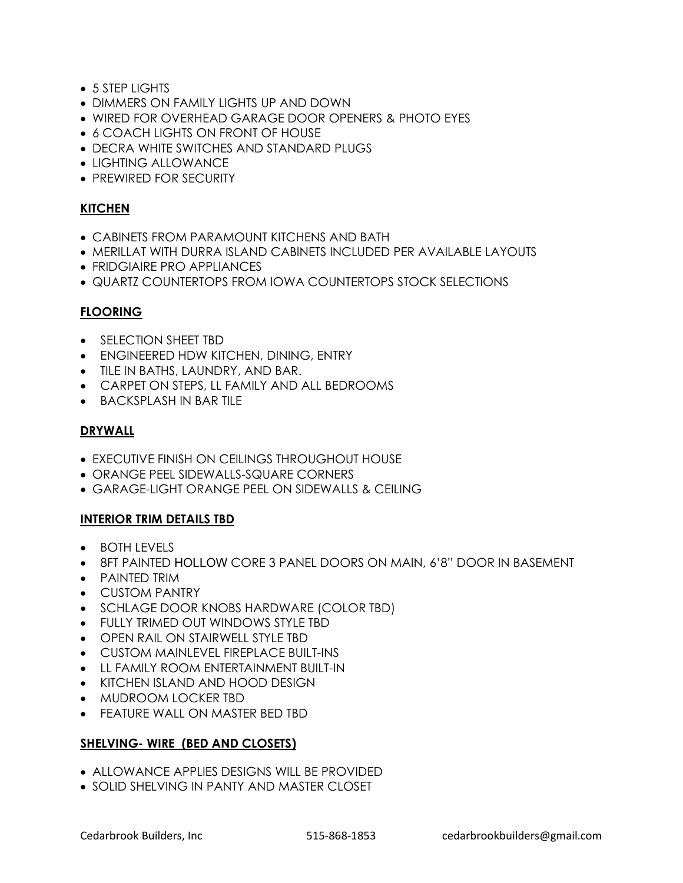- 5 STEP LIGHTS
- DIMMERS ON FAMILY LIGHTS UP AND DOWN
- WIRED FOR OVERHEAD GARAGE DOOR OPENERS & PHOTO EYES
- 6 COACH LIGHTS ON FRONT OF HOUSE
- DECRA WHITE SWITCHES AND STANDARD PLUGS
- LIGHTING ALLOWANCE
- PREWIRED FOR SECURITY

#### **KITCHEN**

- CABINETS FROM PARAMOUNT KITCHENS AND BATH
- MERILLAT WITH DURRA ISLAND CABINETS INCLUDED PER AVAILABLE LAYOUTS
- **FRIDGIAIRE PRO APPLIANCES**
- **QUARTZ COUNTERTOPS FROM IOWA COUNTERTOPS STOCK SELECTIONS**

#### FLOORING

- SELECTION SHEET TBD
- ENGINEERED HDW KITCHEN, DINING, ENTRY
- **TILE IN BATHS, LAUNDRY, AND BAR.**
- CARPET ON STEPS, LL FAMILY AND ALL BEDROOMS
- **BACKSPLASH IN BAR TILE**

#### DRYWALL

- **EXECUTIVE FINISH ON CEILINGS THROUGHOUT HOUSE**
- ORANGE PEEL SIDEWALLS-SQUARE CORNERS
- GARAGE-LIGHT ORANGE PEEL ON SIDEWALLS & CEILING

#### INTERIOR TRIM DETAILS TBD

- $\bullet$  BOTH LEVELS
- 8FT PAINTED HOLLOW CORE 3 PANEL DOORS ON MAIN, 6'8" DOOR IN BASEMENT
- PAINTED TRIM
- CUSTOM PANTRY
- SCHLAGE DOOR KNOBS HARDWARE (COLOR TBD)
- FULLY TRIMED OUT WINDOWS STYLE TBD
- OPEN RAIL ON STAIRWELL STYLE TBD
- CUSTOM MAINLEVEL FIREPLACE BUILT-INS
- LL FAMILY ROOM ENTERTAINMENT BUILT-IN
- KITCHEN ISLAND AND HOOD DESIGN
- MUDROOM LOCKER TBD
- FEATURE WALL ON MASTER BED TBD

#### SHELVING- WIRE (BED AND CLOSETS)

- ALLOWANCE APPLIES DESIGNS WILL BE PROVIDED
- SOLID SHELVING IN PANTY AND MASTER CLOSET